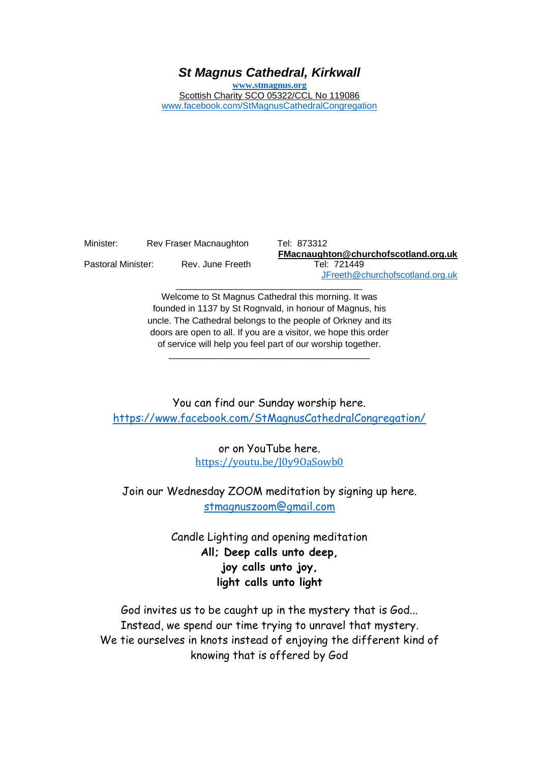# *St Magnus Cathedral, Kirkwall*

**[www.stmagnus.org](http://www.stmagnus.org/)** Scottish Charity SCO 05322/CCL No 119086 [www.facebook.com/StMagnusCathedralCongregation](http://www.facebook.com/StMagnusCathedralCongregation)

| Minister:          | Rev Fraser Macnaughton |  |
|--------------------|------------------------|--|
| Pastoral Minister: | Rev. June Freeth       |  |

Tel: 873312 **FMacnaughton@churchofscotland.org.uk** Tel: 721449 [JFreeth@churchofscotland.org.uk](mailto:JFreeth@churchofscotland.org.uk)

Welcome to St Magnus Cathedral this morning. It was founded in 1137 by St Rognvald, in honour of Magnus, his uncle. The Cathedral belongs to the people of Orkney and its doors are open to all. If you are a visitor, we hope this order of service will help you feel part of our worship together.

\_\_\_\_\_\_\_\_\_\_\_\_\_\_\_\_\_\_\_\_\_\_\_\_\_\_\_\_\_\_\_\_\_\_\_\_\_\_\_\_

\_\_\_\_\_\_\_\_\_\_\_\_\_\_\_\_\_\_\_\_\_\_\_\_\_\_\_\_\_\_\_\_\_\_\_\_\_

You can find our Sunday worship here. <https://www.facebook.com/StMagnusCathedralCongregation/>

> or on YouTube here. [https://youtu.be/J0y9OaSowb0](https://avanan.url-protection.com/v1/url?o=https%3A//youtu.be/J0y9OaSowb0&g=NGQ5Y2QzYWMyYTRlNTg2Ng==&h=MDk0ODRhYWUyMzFlMzM5ZjVhM2VkOGU3MmU3NTRlMTZlYjQ1NDMzZTQwMTA0NjY2ZTA1NmI4MmZjMjBlMjJkYQ==&p=YXAzOmNvczphOm86MWMzYTU1Y2RmZTczMzgxYjE0NDg4MWM2YjMzMTgyMzc6djE6aDpU)

Join our Wednesday ZOOM meditation by signing up here. [stmagnuszoom@gmail.com](mailto:stmagnuszoom@gmail.com)

> Candle Lighting and opening meditation **All; Deep calls unto deep, joy calls unto joy, light calls unto light**

God invites us to be caught up in the mystery that is God... Instead, we spend our time trying to unravel that mystery. We tie ourselves in knots instead of enjoying the different kind of knowing that is offered by God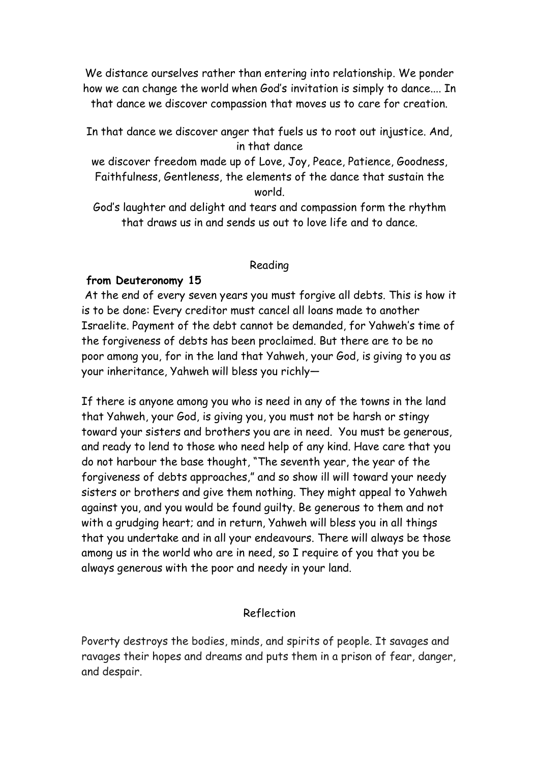We distance ourselves rather than entering into relationship. We ponder how we can change the world when God's invitation is simply to dance.... In that dance we discover compassion that moves us to care for creation.

In that dance we discover anger that fuels us to root out injustice. And, in that dance

we discover freedom made up of Love, Joy, Peace, Patience, Goodness, Faithfulness, Gentleness, the elements of the dance that sustain the world.

God's laughter and delight and tears and compassion form the rhythm that draws us in and sends us out to love life and to dance.

## Reading

## **from Deuteronomy 15**

At the end of every seven years you must forgive all debts. This is how it is to be done: Every creditor must cancel all loans made to another Israelite. Payment of the debt cannot be demanded, for Yahweh's time of the forgiveness of debts has been proclaimed. But there are to be no poor among you, for in the land that Yahweh, your God, is giving to you as your inheritance, Yahweh will bless you richly—

If there is anyone among you who is need in any of the towns in the land that Yahweh, your God, is giving you, you must not be harsh or stingy toward your sisters and brothers you are in need. You must be generous, and ready to lend to those who need help of any kind. Have care that you do not harbour the base thought, "The seventh year, the year of the forgiveness of debts approaches," and so show ill will toward your needy sisters or brothers and give them nothing. They might appeal to Yahweh against you, and you would be found guilty. Be generous to them and not with a grudging heart; and in return, Yahweh will bless you in all things that you undertake and in all your endeavours. There will always be those among us in the world who are in need, so I require of you that you be always generous with the poor and needy in your land.

## Reflection

Poverty destroys the bodies, minds, and spirits of people. It savages and ravages their hopes and dreams and puts them in a prison of fear, danger, and despair.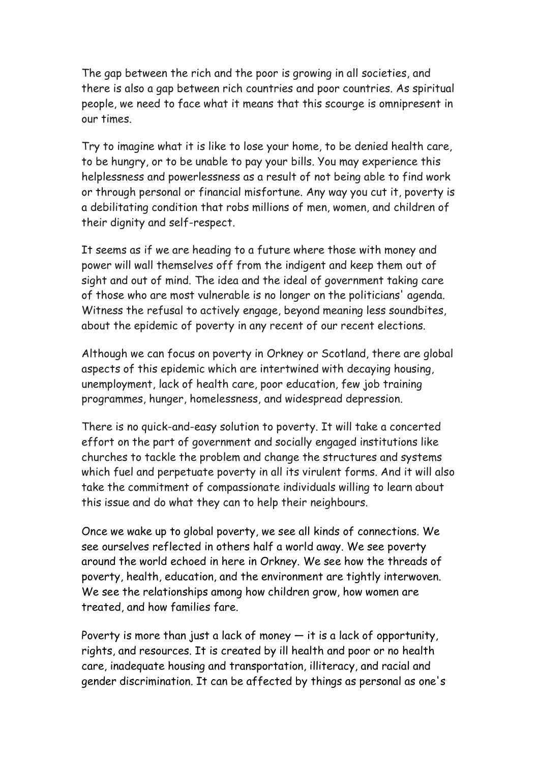The gap between the rich and the poor is growing in all societies, and there is also a gap between rich countries and poor countries. As spiritual people, we need to face what it means that this scourge is omnipresent in our times.

Try to imagine what it is like to lose your home, to be denied health care, to be hungry, or to be unable to pay your bills. You may experience this helplessness and powerlessness as a result of not being able to find work or through personal or financial misfortune. Any way you cut it, poverty is a debilitating condition that robs millions of men, women, and children of their dignity and self-respect.

It seems as if we are heading to a future where those with money and power will wall themselves off from the indigent and keep them out of sight and out of mind. The idea and the ideal of government taking care of those who are most vulnerable is no longer on the politicians' agenda. Witness the refusal to actively engage, beyond meaning less soundbites, about the epidemic of poverty in any recent of our recent elections.

Although we can focus on poverty in Orkney or Scotland, there are global aspects of this epidemic which are intertwined with decaying housing, unemployment, lack of health care, poor education, few job training programmes, hunger, homelessness, and widespread depression.

There is no quick-and-easy solution to poverty. It will take a concerted effort on the part of government and socially engaged institutions like churches to tackle the problem and change the structures and systems which fuel and perpetuate poverty in all its virulent forms. And it will also take the commitment of compassionate individuals willing to learn about this issue and do what they can to help their neighbours.

Once we wake up to global poverty, we see all kinds of connections. We see ourselves reflected in others half a world away. We see poverty around the world echoed in here in Orkney. We see how the threads of poverty, health, education, and the environment are tightly interwoven. We see the relationships among how children grow, how women are treated, and how families fare.

Poverty is more than just a lack of money  $-$  it is a lack of opportunity, rights, and resources. It is created by ill health and poor or no health care, inadequate housing and transportation, illiteracy, and racial and gender discrimination. It can be affected by things as personal as one's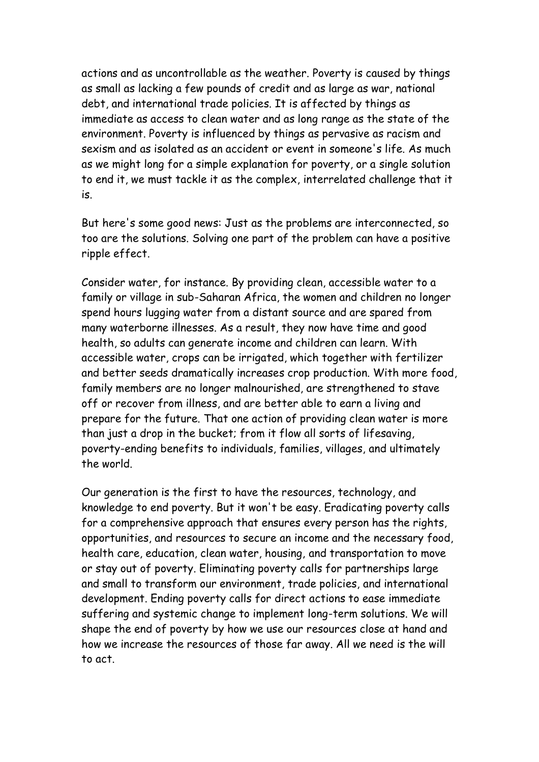actions and as uncontrollable as the weather. Poverty is caused by things as small as lacking a few pounds of credit and as large as war, national debt, and international trade policies. It is affected by things as immediate as access to clean water and as long range as the state of the environment. Poverty is influenced by things as pervasive as racism and sexism and as isolated as an accident or event in someone's life. As much as we might long for a simple explanation for poverty, or a single solution to end it, we must tackle it as the complex, interrelated challenge that it is.

But here's some good news: Just as the problems are interconnected, so too are the solutions. Solving one part of the problem can have a positive ripple effect.

Consider water, for instance. By providing clean, accessible water to a family or village in sub-Saharan Africa, the women and children no longer spend hours lugging water from a distant source and are spared from many waterborne illnesses. As a result, they now have time and good health, so adults can generate income and children can learn. With accessible water, crops can be irrigated, which together with fertilizer and better seeds dramatically increases crop production. With more food, family members are no longer malnourished, are strengthened to stave off or recover from illness, and are better able to earn a living and prepare for the future. That one action of providing clean water is more than just a drop in the bucket; from it flow all sorts of lifesaving, poverty-ending benefits to individuals, families, villages, and ultimately the world.

Our generation is the first to have the resources, technology, and knowledge to end poverty. But it won't be easy. Eradicating poverty calls for a comprehensive approach that ensures every person has the rights, opportunities, and resources to secure an income and the necessary food, health care, education, clean water, housing, and transportation to move or stay out of poverty. Eliminating poverty calls for partnerships large and small to transform our environment, trade policies, and international development. Ending poverty calls for direct actions to ease immediate suffering and systemic change to implement long-term solutions. We will shape the end of poverty by how we use our resources close at hand and how we increase the resources of those far away. All we need is the will to act.